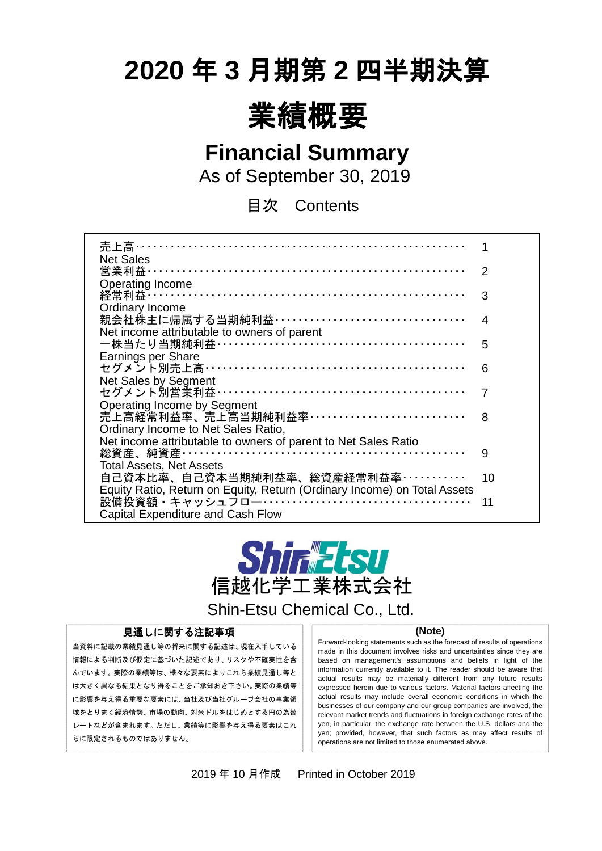# **2020** 年 **3** 月期第 **2** 四半期決算



**Financial Summary**

As of September 30, 2019

目次 Contents

| 売上高・・・・・・・・・                                                             |    |
|--------------------------------------------------------------------------|----|
| <b>Net Sales</b>                                                         |    |
| 営業利益………                                                                  | 2  |
| <b>Operating Income</b>                                                  |    |
| 経常利益 ……………………………………………………………                                             | 3  |
| Ordinary Income                                                          |    |
| 親会社株主に帰属する当期純利益 ··································                       | 4  |
| Net income attributable to owners of parent                              |    |
| 一株当たり当期純利益 ……………………………………………                                             | 5  |
| Earnings per Share                                                       |    |
| セグメント別売上高 ………………………………………………                                             | 6  |
| Net Sales by Segment                                                     |    |
| セグメント別営業利益 ……………………………………………                                             |    |
| <b>Operating Income by Segment</b>                                       |    |
| 売上高経常利益率、売上高当期純利益率……………………………                                            | 8  |
| Ordinary Income to Net Sales Ratio,                                      |    |
| Net income attributable to owners of parent to Net Sales Ratio           |    |
|                                                                          | 9  |
| <b>Total Assets, Net Assets</b>                                          |    |
| 自己資本比率、自己資本当期純利益率、総資産経常利益率…………                                           | 10 |
| Equity Ratio, Return on Equity, Return (Ordinary Income) on Total Assets |    |
|                                                                          | 11 |
|                                                                          |    |
| <b>Capital Expenditure and Cash Flow</b>                                 |    |



Shin-Etsu Chemical Co., Ltd.

#### 見通しに関する注記事項

当資料に記載の業績見通し等の将来に関する記述は、現在入手している 情報による判断及び仮定に基づいた記述であり、リスクや不確実性を含 んでいます。実際の業績等は、様々な要素によりこれら業績見通し等と は大きく異なる結果となり得ることをご承知おき下さい。実際の業績等 に影響を与え得る重要な要素には、当社及び当社グループ会社の事業領 域をとりまく経済情勢、市場の動向、対米ドルをはじめとする円の為替 レートなどが含まれます。ただし、業績等に影響を与え得る要素はこれ らに限定されるものではありません。

 $\overline{a}$ 

#### **(Note)**

Forward-looking statements such as the forecast of results of operations made in this document involves risks and uncertainties since they are based on management's assumptions and beliefs in light of the information currently available to it. The reader should be aware that actual results may be materially different from any future results expressed herein due to various factors. Material factors affecting the actual results may include overall economic conditions in which the businesses of our company and our group companies are involved, the relevant market trends and fluctuations in foreign exchange rates of the yen, in particular, the exchange rate between the U.S. dollars and the yen; provided, however, that such factors as may affect results of operations are not limited to those enumerated above.

2019 年 10 月作成 Printed in October 2019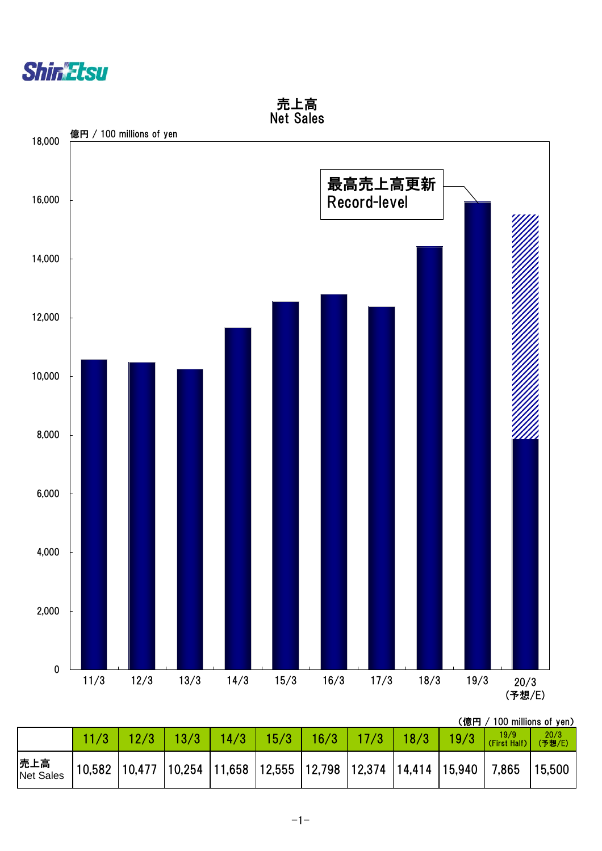



|  | (億円 / 100 millions of yen) |  |
|--|----------------------------|--|
|  |                            |  |

|                  |  | 13/3                                                                                                                                                                | 14/3 | 15/3 | 16/3 | 17/3   18/3 | 19/3 | 19/9<br>(First Half) | 20/3<br>(予想/E) |
|------------------|--|---------------------------------------------------------------------------------------------------------------------------------------------------------------------|------|------|------|-------------|------|----------------------|----------------|
| 売上高<br>Net Sales |  | $\vert$ 10,582 $\vert$ 10,477 $\vert$ 10,254 $\vert$ 11,658 $\vert$ 12,555 $\vert$ 12,798 $\vert$ 12,374 $\vert$ 14,414 $\vert$ 15,940 $\vert$ 7,865 $\vert$ 15,500 |      |      |      |             |      |                      |                |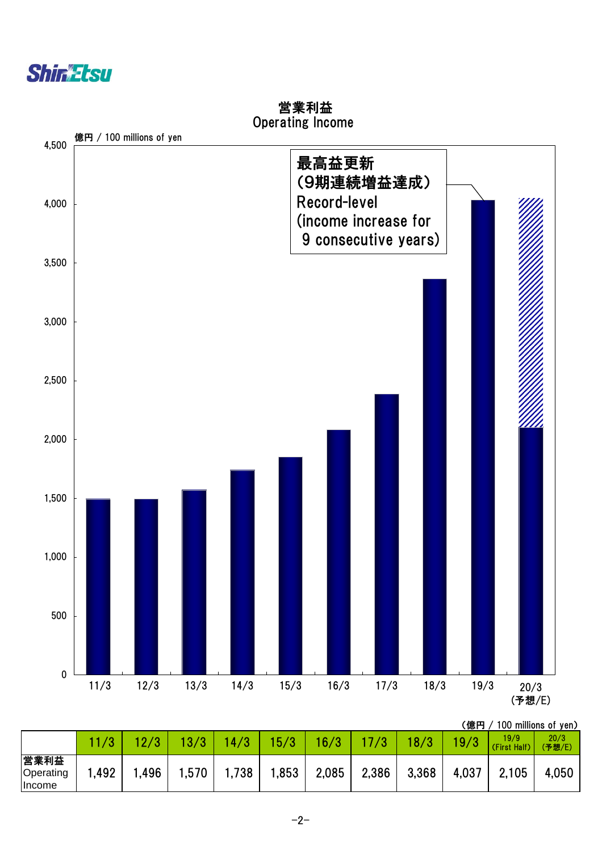



 営業利益 Operating Income

(億円 / 100 millions of yen)

|                                    | 11/3   | 10/2 | 13/3 | 14/3 | 15/3 | 16/3  | 17/3  | 18/3  | 19/3  | 19/9<br>(First Half) | 20/3<br>(予想/E) |
|------------------------------------|--------|------|------|------|------|-------|-------|-------|-------|----------------------|----------------|
| 営業利益<br>Operating<br><b>Income</b> | .492,، | .496 | ,570 | ,738 | ,853 | 2,085 | 2,386 | 3,368 | 4,037 | 2,105                | 4,050          |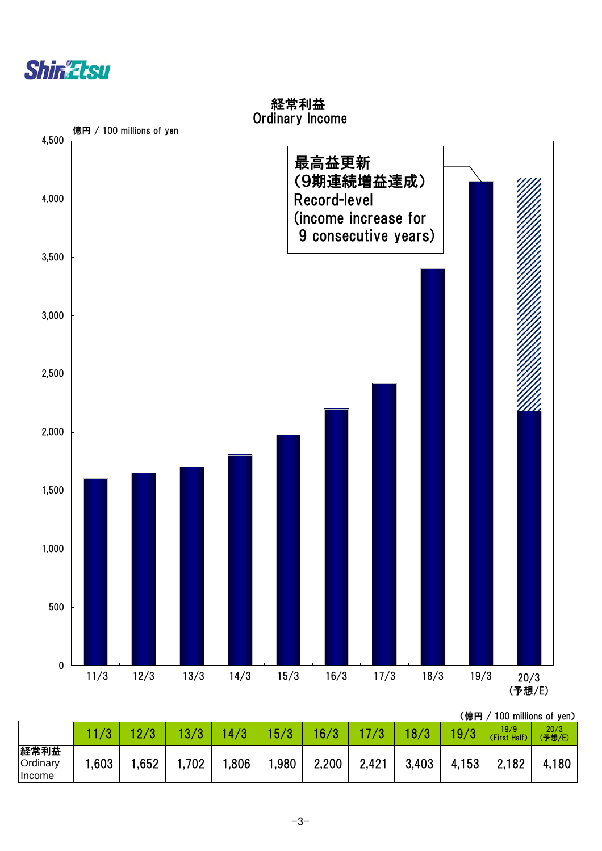



経常利益 Ordinary Income

(億円 / 100 millions of yen)

|                                          | /3   | 10 IO | 13/3 | /3<br>$\frac{4}{ }$ | 15/3 | 16/3  | 7/3   | 18/3  | 19/3  | 19/9<br>(First Half) | 20/3<br>(予想/E) |
|------------------------------------------|------|-------|------|---------------------|------|-------|-------|-------|-------|----------------------|----------------|
| 経常利益<br><b>Ordinary</b><br><b>Income</b> | ,603 | .652  | ,702 | ,806                | ,980 | 2,200 | 2,421 | 3,403 | 4,153 | 2,182                | 4,180          |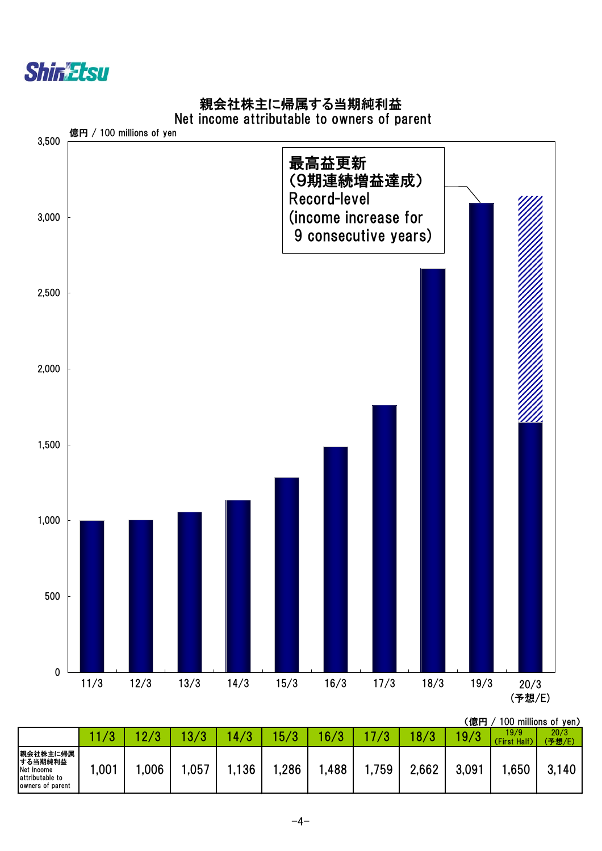![](_page_4_Picture_0.jpeg)

### 親会社株主に帰属する当期純利益

#### Net income attributable to owners of parent

![](_page_4_Figure_3.jpeg)

(億円 / 100 millions of yen)

|                                                                            |                  |            |            |                    |         |      |       |       | . <i>.</i> |                      |                |
|----------------------------------------------------------------------------|------------------|------------|------------|--------------------|---------|------|-------|-------|------------|----------------------|----------------|
|                                                                            | $\sqrt{2}$<br>w. | $\sqrt{2}$ | 1.0.<br>72 | /3<br>$\mathbf{A}$ | 70<br>г | 16/3 |       | 07    | 19/3       | 19/9<br>(First Half) | 20/3<br>(予想/E) |
| 親会社株主に帰属<br> する当期純利益<br>Net income<br>attributable to<br>Jowners of parent | ,001             | ,006       | ,057       | .136               | ,286    | ,488 | .,759 | 2,662 | 3,091      | .650                 | 3,140          |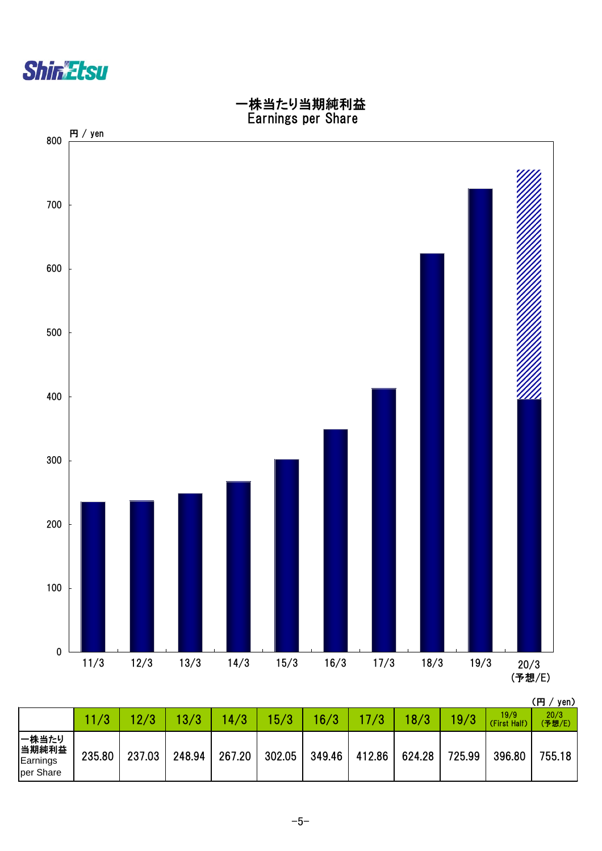![](_page_5_Picture_0.jpeg)

![](_page_5_Figure_1.jpeg)

|                                          |        |        |        |        |        |        |        |        |        |                      | \  J / JVII/   |
|------------------------------------------|--------|--------|--------|--------|--------|--------|--------|--------|--------|----------------------|----------------|
|                                          |        |        | 13/3   | 14/3   | 15/3   | 16/3   | 17/3   | 18/3   | 19/3   | 19/9<br>(First Half) | 20/3<br>(予想/E) |
| 一株当たり<br> 当期純利益<br>Earnings<br>per Share | 235.80 | 237.03 | 248.94 | 267.20 | 302.05 | 349.46 | 412.86 | 624.28 | 725.99 | 396.80               | 755.18         |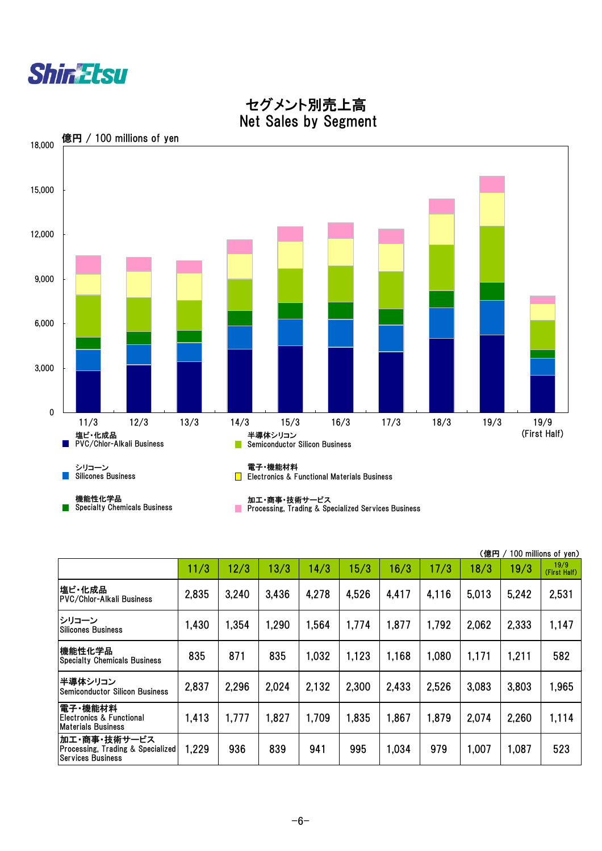|                                                                                          |       |       |       |       |       |       |       | (億円   |       | 100 millions of yen) |
|------------------------------------------------------------------------------------------|-------|-------|-------|-------|-------|-------|-------|-------|-------|----------------------|
|                                                                                          | 11/3  | 12/3  | 13/3  | 14/3  | 15/3  | 16/3  | 17/3  | 18/3  | 19/3  | 19/9<br>(First Half) |
| 塩ビ・化成品<br><b>PVC/Chlor-Alkali Business</b>                                               | 2,835 | 3,240 | 3,436 | 4,278 | 4,526 | 4,417 | 4.116 | 5.013 | 5,242 | 2,531                |
| シリコーン<br><b>Silicones Business</b>                                                       | 1,430 | 1,354 | 1,290 | 1,564 | 1,774 | 1,877 | 1,792 | 2,062 | 2,333 | 1,147                |
| 機能性化学品<br><b>Specialty Chemicals Business</b>                                            | 835   | 871   | 835   | 1,032 | 1,123 | 1,168 | 1.080 | 1,171 | 1,211 | 582                  |
| 半導体シリコン<br><b>Semiconductor Silicon Business</b>                                         | 2,837 | 2,296 | 2,024 | 2,132 | 2,300 | 2,433 | 2,526 | 3,083 | 3,803 | 1,965                |
| 電子・機能材料<br><b>Electronics &amp; Functional</b><br><b>Materials Business</b>              | 1,413 | 1,777 | 1,827 | 1,709 | 1,835 | 1,867 | 1.879 | 2,074 | 2,260 | 1,114                |
| 加工・商事・技術サービス<br><b>Processing, Trading &amp; Specialized</b><br><b>Services Business</b> | 1,229 | 936   | 839   | 941   | 995   | 1,034 | 979   | 1,007 | 1,087 | 523                  |

 $-6-$ 

![](_page_6_Picture_0.jpeg)

 セグメント別売上高 Net Sales by Segment

![](_page_6_Figure_2.jpeg)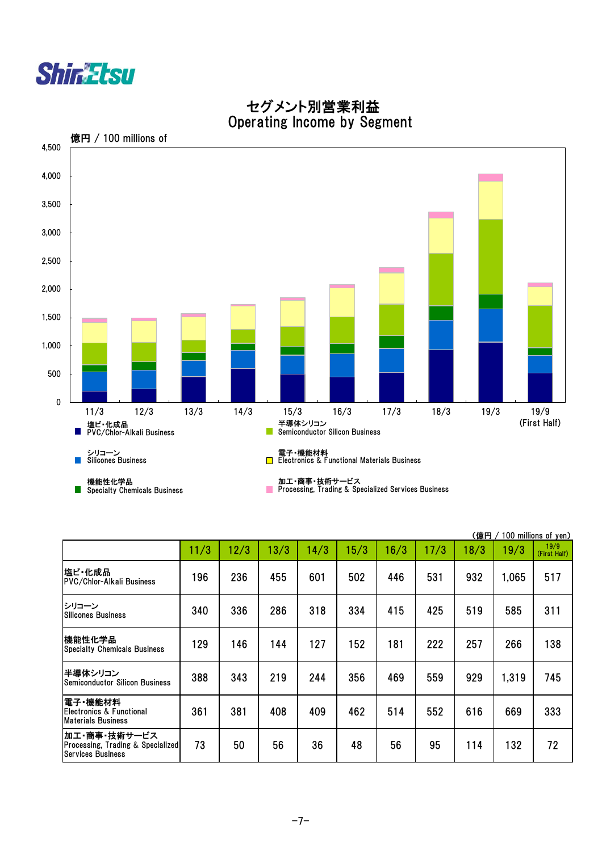|                                                                               | (億円<br>100 millions of yen) |      |      |      |      |      |      |      |       |                      |  |  |
|-------------------------------------------------------------------------------|-----------------------------|------|------|------|------|------|------|------|-------|----------------------|--|--|
|                                                                               | 11/3                        | 12/3 | 13/3 | 14/3 | 15/3 | 16/3 | 17/3 | 18/3 | 19/3  | 19/9<br>(First Half) |  |  |
| 塩ビ・化成品<br><b>PVC/Chlor-Alkali Business</b>                                    | 196                         | 236  | 455  | 601  | 502  | 446  | 531  | 932  | 1,065 | 517                  |  |  |
| シリコーン<br><b>Silicones Business</b>                                            | 340                         | 336  | 286  | 318  | 334  | 415  | 425  | 519  | 585   | 311                  |  |  |
| 機能性化学品<br><b>Specialty Chemicals Business</b>                                 | 129                         | 146  | 144  | 127  | 152  | 181  | 222  | 257  | 266   | 138                  |  |  |
| 半導体シリコン<br><b>Semiconductor Silicon Business</b>                              | 388                         | 343  | 219  | 244  | 356  | 469  | 559  | 929  | 1,319 | 745                  |  |  |
| 電子 機能材料<br>Electronics & Functional<br><b>Materials Business</b>              | 361                         | 381  | 408  | 409  | 462  | 514  | 552  | 616  | 669   | 333                  |  |  |
| 加工・商事・技術サービス<br>Processing, Trading & Specialized<br><b>Services Business</b> | 73                          | 50   | 56   | 36   | 48   | 56   | 95   | 114  | 132   | 72                   |  |  |

![](_page_7_Picture_0.jpeg)

 セグメント別営業利益 Operating Income by Segment

![](_page_7_Figure_2.jpeg)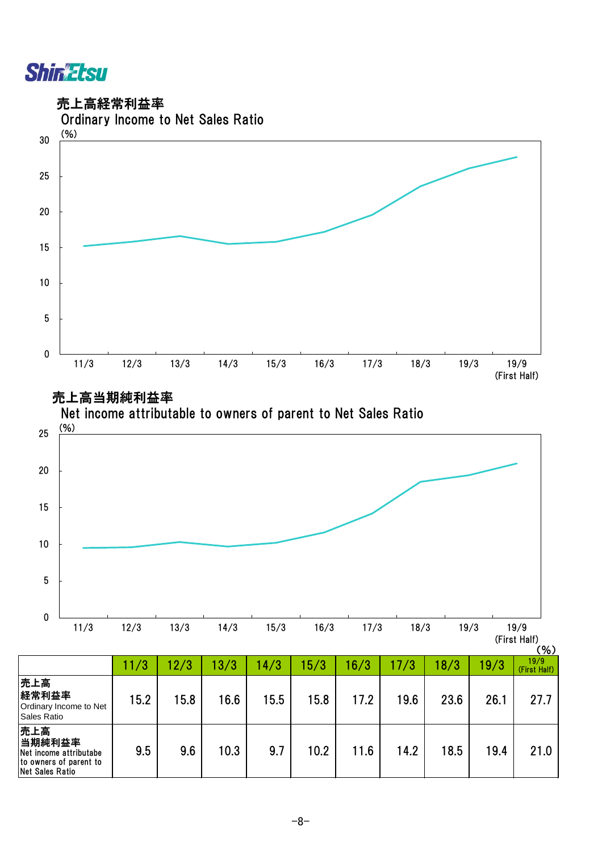![](_page_8_Picture_0.jpeg)

売上高経常利益率

![](_page_8_Figure_2.jpeg)

売上高当期純利益率

![](_page_8_Figure_4.jpeg)

|                                                                                        | 11/3 | 12/3 | 13/3 | 14/3 | 5/3  | 6/3  | 17/3 | 18/3 | 19/3 | $\ddotsc$<br>19/9<br>(First Half) |
|----------------------------------------------------------------------------------------|------|------|------|------|------|------|------|------|------|-----------------------------------|
| 売上高<br>経常利益率<br>Ordinary Income to Net<br>Sales Ratio                                  | 15.2 | 15.8 | 16.6 | 15.5 | 15.8 | 17.2 | 19.6 | 23.6 | 26.1 | 27.7                              |
| 売上高<br> 当期純利益率 <br>Net income attributabe<br>to owners of parent to<br>Net Sales Ratio | 9.5  | 9.6  | 10.3 | 9.7  | 10.2 | 11.6 | 14.2 | 18.5 | 19.4 | 21.0                              |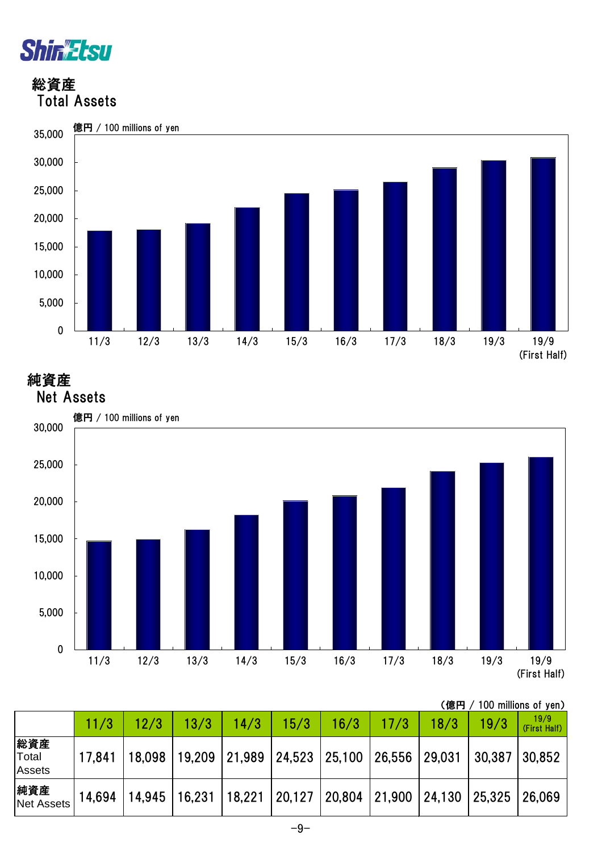![](_page_9_Picture_0.jpeg)

### 総資産 Total Assets

![](_page_9_Figure_2.jpeg)

## 純資産

![](_page_9_Figure_4.jpeg)

| (億円 / 100 millions of yen) |
|----------------------------|
|----------------------------|

|                                      |        | 12/3   | 13/3                     | 14/3   | 15/3                                         | 16/3 | 17/3 | 18/3 | 19/3   | 19/9<br>(First Half) |
|--------------------------------------|--------|--------|--------------------------|--------|----------------------------------------------|------|------|------|--------|----------------------|
| 総資産<br><b>Total</b><br><b>Assets</b> | 17.841 | 18,098 | 19,209                   | 21,989 | 24,523 25,100 26,556 29,031                  |      |      |      | 30,387 | 30,852               |
| 純資産<br>Net Assets                    | 14,694 |        | 14,945   16,231   18,221 |        | $ 20,127 20,804 21,900 24,130 25,325 26,069$ |      |      |      |        |                      |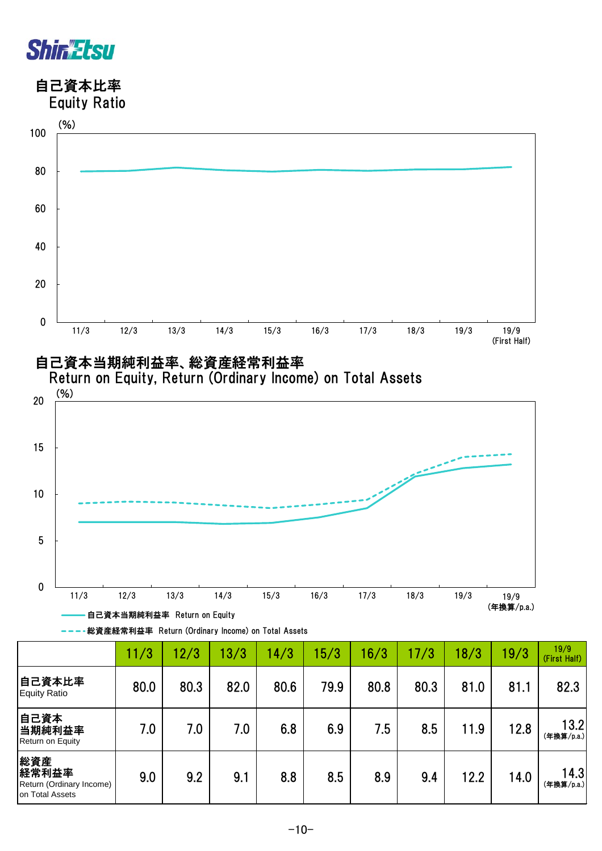![](_page_10_Figure_0.jpeg)

自己資本比率

![](_page_10_Figure_2.jpeg)

![](_page_10_Figure_3.jpeg)

![](_page_10_Figure_4.jpeg)

![](_page_10_Figure_5.jpeg)

**---\*総資産経常利益率 Return (Ordinary Income) on Total Assets** 

|                                                             | 11/3 | 12/3 | 13/3 | 14/3 | 15/3 | 6/3  | 17/3 | 18/3 | 19/3 | 19/9<br>(First Half) |
|-------------------------------------------------------------|------|------|------|------|------|------|------|------|------|----------------------|
| 自己資本比率<br><b>Equity Ratio</b>                               | 80.0 | 80.3 | 82.0 | 80.6 | 79.9 | 80.8 | 80.3 | 81.0 | 81.1 | 82.3                 |
| 自己資本<br>当期純利益率<br>Return on Equity                          | 7.0  | 7.0  | 7.0  | 6.8  | 6.9  | 7.5  | 8.5  | 11.9 | 12.8 | 13.2<br>(年換算/p.a.)   |
| 総資産<br>経常利益率<br>Return (Ordinary Income)<br>on Total Assets | 9.0  | 9.2  | 9.1  | 8.8  | 8.5  | 8.9  | 9.4  | 12.2 | 14.0 | 14.3<br>(年換算/p.a.)   |